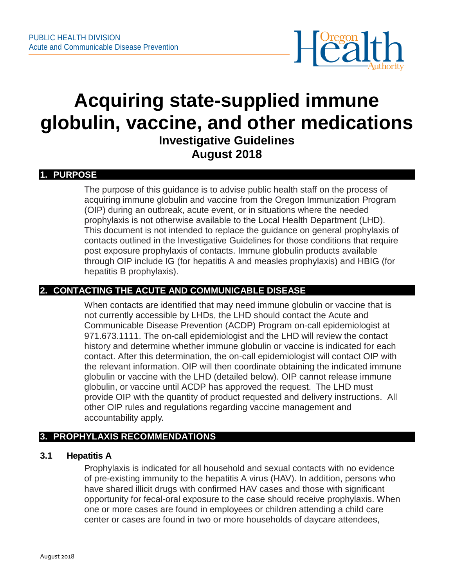

# **Acquiring state-supplied immune globulin, vaccine, and other medications Investigative Guidelines August 2018**

#### **1. PURPOSE**

The purpose of this guidance is to advise public health staff on the process of acquiring immune globulin and vaccine from the Oregon Immunization Program (OIP) during an outbreak, acute event, or in situations where the needed prophylaxis is not otherwise available to the Local Health Department (LHD). This document is not intended to replace the guidance on general prophylaxis of contacts outlined in the Investigative Guidelines for those conditions that require post exposure prophylaxis of contacts. Immune globulin products available through OIP include IG (for hepatitis A and measles prophylaxis) and HBIG (for hepatitis B prophylaxis).

# **2. CONTACTING THE ACUTE AND COMMUNICABLE DISEASE**

When contacts are identified that may need immune globulin or vaccine that is not currently accessible by LHDs, the LHD should contact the Acute and Communicable Disease Prevention (ACDP) Program on-call epidemiologist at 971.673.1111. The on-call epidemiologist and the LHD will review the contact history and determine whether immune globulin or vaccine is indicated for each contact. After this determination, the on-call epidemiologist will contact OIP with the relevant information. OIP will then coordinate obtaining the indicated immune globulin or vaccine with the LHD (detailed below). OIP cannot release immune globulin, or vaccine until ACDP has approved the request. The LHD must provide OIP with the quantity of product requested and delivery instructions. All other OIP rules and regulations regarding vaccine management and accountability apply.

# **3. PROPHYLAXIS RECOMMENDATIONS**

#### **3.1 Hepatitis A**

Prophylaxis is indicated for all household and sexual contacts with no evidence of pre-existing immunity to the hepatitis A virus (HAV). In addition, persons who have shared illicit drugs with confirmed HAV cases and those with significant opportunity for fecal-oral exposure to the case should receive prophylaxis. When one or more cases are found in employees or children attending a child care center or cases are found in two or more households of daycare attendees,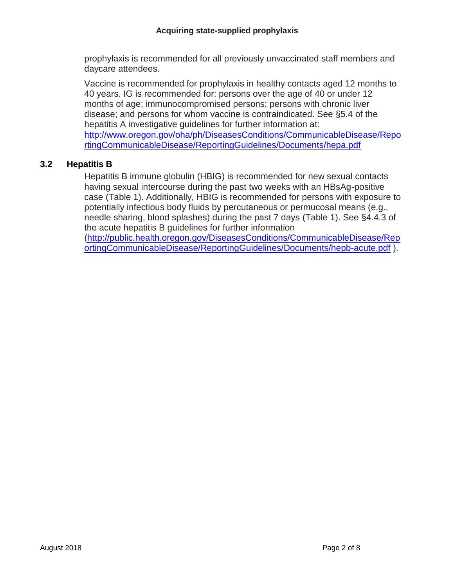prophylaxis is recommended for all previously unvaccinated staff members and daycare attendees.

Vaccine is recommended for prophylaxis in healthy contacts aged 12 months to 40 years. IG is recommended for: persons over the age of 40 or under 12 months of age; immunocompromised persons; persons with chronic liver disease; and persons for whom vaccine is contraindicated. See §5.4 of the hepatitis A investigative guidelines for further information at: [http://www.oregon.gov/oha/ph/DiseasesConditions/CommunicableDisease/Repo](http://www.oregon.gov/oha/ph/DiseasesConditions/CommunicableDisease/ReportingCommunicableDisease/ReportingGuidelines/Documents/hepa.pdf) [rtingCommunicableDisease/ReportingGuidelines/Documents/hepa.pdf](http://www.oregon.gov/oha/ph/DiseasesConditions/CommunicableDisease/ReportingCommunicableDisease/ReportingGuidelines/Documents/hepa.pdf)

# **3.2 Hepatitis B**

Hepatitis B immune globulin (HBIG) is recommended for new sexual contacts having sexual intercourse during the past two weeks with an HBsAg-positive case (Table 1). Additionally, HBIG is recommended for persons with exposure to potentially infectious body fluids by percutaneous or permucosal means (e.g., needle sharing, blood splashes) during the past 7 days (Table 1). See §4.4.3 of the acute hepatitis B guidelines for further information

[\(http://public.health.oregon.gov/DiseasesConditions/CommunicableDisease/Rep](http://public.health.oregon.gov/DiseasesConditions/CommunicableDisease/ReportingCommunicableDisease/ReportingGuidelines/Documents/hepb-acute.pdf) [ortingCommunicableDisease/ReportingGuidelines/Documents/hepb-acute.pdf](http://public.health.oregon.gov/DiseasesConditions/CommunicableDisease/ReportingCommunicableDisease/ReportingGuidelines/Documents/hepb-acute.pdf) ).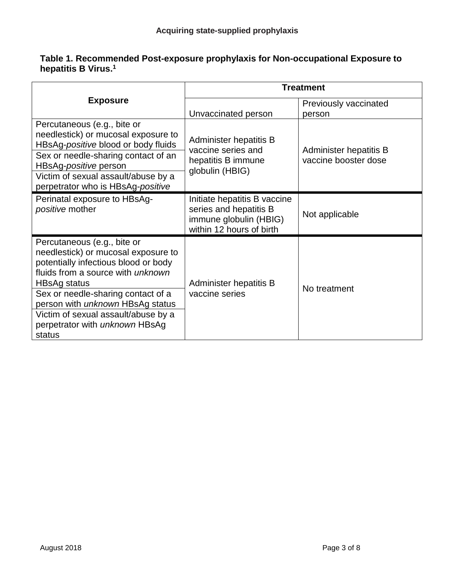#### **Table 1. Recommended Post-exposure prophylaxis for Non-occupational Exposure to hepatitis B Virus. 1**

|                                                                                                                                                                                                                                                                                                                                                   | <b>Treatment</b>                                                                                             |                                                |  |
|---------------------------------------------------------------------------------------------------------------------------------------------------------------------------------------------------------------------------------------------------------------------------------------------------------------------------------------------------|--------------------------------------------------------------------------------------------------------------|------------------------------------------------|--|
| <b>Exposure</b>                                                                                                                                                                                                                                                                                                                                   |                                                                                                              | Previously vaccinated                          |  |
|                                                                                                                                                                                                                                                                                                                                                   | Unvaccinated person                                                                                          | person                                         |  |
| Percutaneous (e.g., bite or<br>needlestick) or mucosal exposure to<br>HBsAg-positive blood or body fluids<br>Sex or needle-sharing contact of an<br>HBsAg-positive person<br>Victim of sexual assault/abuse by a<br>perpetrator who is HBsAg-positive                                                                                             | Administer hepatitis B<br>vaccine series and<br>hepatitis B immune<br>globulin (HBIG)                        | Administer hepatitis B<br>vaccine booster dose |  |
| Perinatal exposure to HBsAg-<br>positive mother                                                                                                                                                                                                                                                                                                   | Initiate hepatitis B vaccine<br>series and hepatitis B<br>immune globulin (HBIG)<br>within 12 hours of birth | Not applicable                                 |  |
| Percutaneous (e.g., bite or<br>needlestick) or mucosal exposure to<br>potentially infectious blood or body<br>fluids from a source with unknown<br><b>HBsAg status</b><br>Sex or needle-sharing contact of a<br>person with <i>unknown</i> HBsAg status<br>Victim of sexual assault/abuse by a<br>perpetrator with <i>unknown</i> HBsAg<br>status | Administer hepatitis B<br>vaccine series                                                                     | No treatment                                   |  |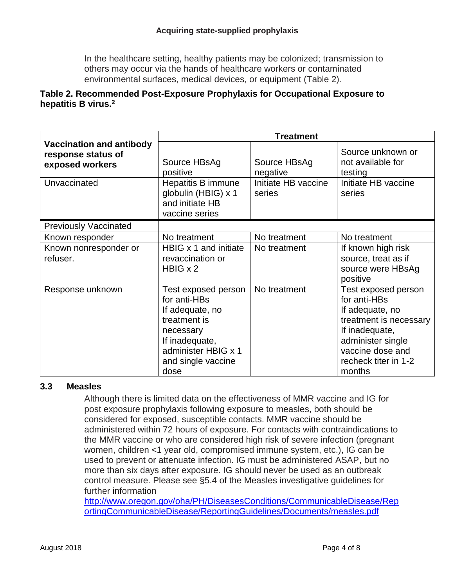In the healthcare setting, healthy patients may be colonized; transmission to others may occur via the hands of healthcare workers or contaminated environmental surfaces, medical devices, or equipment (Table 2).

## **Table 2. Recommended Post-Exposure Prophylaxis for Occupational Exposure to hepatitis B virus.<sup>2</sup>**

|                                                                          | <b>Treatment</b>                                                                                                                                           |                          |                                                                                                                                                                               |  |  |
|--------------------------------------------------------------------------|------------------------------------------------------------------------------------------------------------------------------------------------------------|--------------------------|-------------------------------------------------------------------------------------------------------------------------------------------------------------------------------|--|--|
| <b>Vaccination and antibody</b><br>response status of<br>exposed workers | Source HBsAg<br>positive                                                                                                                                   | Source HBsAg<br>negative | Source unknown or<br>not available for<br>testing                                                                                                                             |  |  |
| Unvaccinated                                                             | Initiate HB vaccine<br>Hepatitis B immune<br>globulin (HBIG) x 1<br>series<br>and initiate HB<br>vaccine series                                            |                          | Initiate HB vaccine<br>series                                                                                                                                                 |  |  |
| <b>Previously Vaccinated</b>                                             |                                                                                                                                                            |                          |                                                                                                                                                                               |  |  |
| Known responder                                                          | No treatment                                                                                                                                               | No treatment             | No treatment                                                                                                                                                                  |  |  |
| Known nonresponder or<br>refuser.                                        | HBIG x 1 and initiate<br>revaccination or<br>$H BIG \times 2$                                                                                              | No treatment             | If known high risk<br>source, treat as if<br>source were HBsAg<br>positive                                                                                                    |  |  |
| Response unknown                                                         | Test exposed person<br>for anti-HBs<br>If adequate, no<br>treatment is<br>necessary<br>If inadequate,<br>administer HBIG x 1<br>and single vaccine<br>dose | No treatment             | Test exposed person<br>for anti-HBs<br>If adequate, no<br>treatment is necessary<br>If inadequate,<br>administer single<br>vaccine dose and<br>recheck titer in 1-2<br>months |  |  |

#### **3.3 Measles**

Although there is limited data on the effectiveness of MMR vaccine and IG for post exposure prophylaxis following exposure to measles, both should be considered for exposed, susceptible contacts. MMR vaccine should be administered within 72 hours of exposure. For contacts with contraindications to the MMR vaccine or who are considered high risk of severe infection (pregnant women, children <1 year old, compromised immune system, etc.), IG can be used to prevent or attenuate infection. IG must be administered ASAP, but no more than six days after exposure. IG should never be used as an outbreak control measure. Please see §5.4 of the Measles investigative guidelines for further information

[http://www.oregon.gov/oha/PH/DiseasesConditions/CommunicableDisease/Rep](http://www.oregon.gov/oha/PH/DiseasesConditions/CommunicableDisease/ReportingCommunicableDisease/ReportingGuidelines/Documents/measles.pdf) [ortingCommunicableDisease/ReportingGuidelines/Documents/measles.pdf](http://www.oregon.gov/oha/PH/DiseasesConditions/CommunicableDisease/ReportingCommunicableDisease/ReportingGuidelines/Documents/measles.pdf)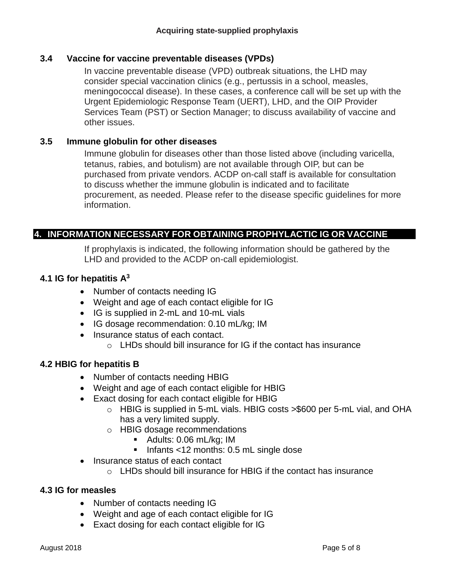## **3.4 Vaccine for vaccine preventable diseases (VPDs)**

In vaccine preventable disease (VPD) outbreak situations, the LHD may consider special vaccination clinics (e.g., pertussis in a school, measles, meningococcal disease). In these cases, a conference call will be set up with the Urgent Epidemiologic Response Team (UERT), LHD, and the OIP Provider Services Team (PST) or Section Manager; to discuss availability of vaccine and other issues.

## **3.5 Immune globulin for other diseases**

Immune globulin for diseases other than those listed above (including varicella, tetanus, rabies, and botulism) are not available through OIP, but can be purchased from private vendors. ACDP on-call staff is available for consultation to discuss whether the immune globulin is indicated and to facilitate procurement, as needed. Please refer to the disease specific guidelines for more information.

# **4. INFORMATION NECESSARY FOR OBTAINING PROPHYLACTIC IG OR VACCINE**

If prophylaxis is indicated, the following information should be gathered by the LHD and provided to the ACDP on-call epidemiologist.

#### **4.1 IG for hepatitis A<sup>3</sup>**

- Number of contacts needing IG
- Weight and age of each contact eligible for IG
- IG is supplied in 2-mL and 10-mL vials
- IG dosage recommendation: 0.10 mL/kg; IM
- Insurance status of each contact.
	- $\circ$  LHDs should bill insurance for IG if the contact has insurance

#### **4.2 HBIG for hepatitis B**

- Number of contacts needing HBIG
- Weight and age of each contact eligible for HBIG
- Exact dosing for each contact eligible for HBIG
	- o HBIG is supplied in 5-mL vials. HBIG costs >\$600 per 5-mL vial, and OHA has a very limited supply.
	- o HBIG dosage recommendations
		- Adults: 0.06 mL/kg; IM
		- Infants <12 months: 0.5 mL single dose
- Insurance status of each contact
	- o LHDs should bill insurance for HBIG if the contact has insurance

#### **4.3 IG for measles**

- Number of contacts needing IG
- Weight and age of each contact eligible for IG
- Exact dosing for each contact eligible for IG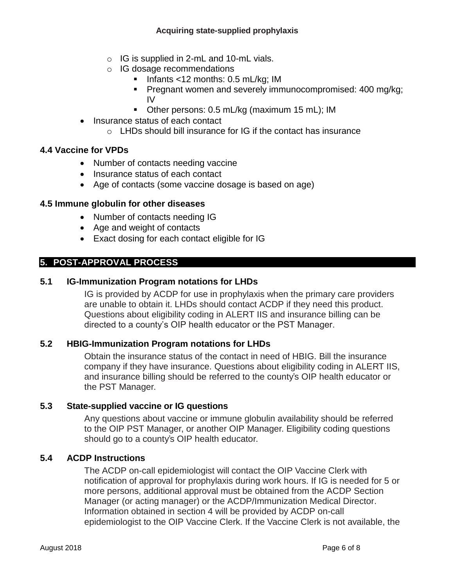- $\circ$  IG is supplied in 2-mL and 10-mL vials.
- o IG dosage recommendations
	- $\blacksquare$  Infants <12 months: 0.5 mL/kg; IM
	- **Pregnant women and severely immunocompromised: 400 mg/kg;** IV
	- Other persons: 0.5 mL/kg (maximum 15 mL); IM
- Insurance status of each contact
	- o LHDs should bill insurance for IG if the contact has insurance

## **4.4 Vaccine for VPDs**

- Number of contacts needing vaccine
- Insurance status of each contact
- Age of contacts (some vaccine dosage is based on age)

#### **4.5 Immune globulin for other diseases**

- Number of contacts needing IG
- Age and weight of contacts
- Exact dosing for each contact eligible for IG

# **5. POST-APPROVAL PROCESS**

## **5.1 IG-Immunization Program notations for LHDs**

IG is provided by ACDP for use in prophylaxis when the primary care providers are unable to obtain it. LHDs should contact ACDP if they need this product. Questions about eligibility coding in ALERT IIS and insurance billing can be directed to a county's OIP health educator or the PST Manager.

# **5.2 HBIG-Immunization Program notations for LHDs**

Obtain the insurance status of the contact in need of HBIG. Bill the insurance company if they have insurance. Questions about eligibility coding in ALERT IIS, and insurance billing should be referred to the county's OIP health educator or the PST Manager.

#### **5.3 State-supplied vaccine or IG questions**

Any questions about vaccine or immune globulin availability should be referred to the OIP PST Manager, or another OIP Manager. Eligibility coding questions should go to a county's OIP health educator.

#### **5.4 ACDP Instructions**

The ACDP on-call epidemiologist will contact the OIP Vaccine Clerk with notification of approval for prophylaxis during work hours. If IG is needed for 5 or more persons, additional approval must be obtained from the ACDP Section Manager (or acting manager) or the ACDP/Immunization Medical Director. Information obtained in section 4 will be provided by ACDP on-call epidemiologist to the OIP Vaccine Clerk. If the Vaccine Clerk is not available, the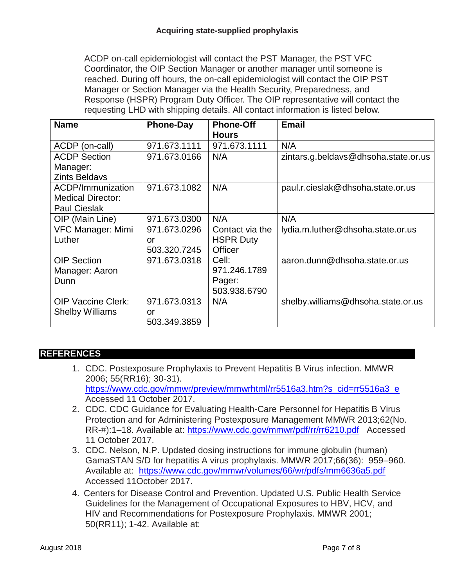ACDP on-call epidemiologist will contact the PST Manager, the PST VFC Coordinator, the OIP Section Manager or another manager until someone is reached. During off hours, the on-call epidemiologist will contact the OIP PST Manager or Section Manager via the Health Security, Preparedness, and Response (HSPR) Program Duty Officer. The OIP representative will contact the requesting LHD with shipping details. All contact information is listed below.

| <b>Name</b>               | <b>Phone-Day</b> | <b>Phone-Off</b><br><b>Hours</b> | <b>Email</b>                         |
|---------------------------|------------------|----------------------------------|--------------------------------------|
| ACDP (on-call)            | 971.673.1111     | 971.673.1111                     | N/A                                  |
| <b>ACDP Section</b>       | 971.673.0166     | N/A                              | zintars.g.beldavs@dhsoha.state.or.us |
| Manager:                  |                  |                                  |                                      |
| <b>Zints Beldavs</b>      |                  |                                  |                                      |
| ACDP/Immunization         | 971.673.1082     | N/A                              | paul.r.cieslak@dhsoha.state.or.us    |
| <b>Medical Director:</b>  |                  |                                  |                                      |
| <b>Paul Cieslak</b>       |                  |                                  |                                      |
| OIP (Main Line)           | 971.673.0300     | N/A                              | N/A                                  |
| VFC Manager: Mimi         | 971.673.0296     | Contact via the                  | lydia.m.luther@dhsoha.state.or.us    |
| Luther                    | or               | <b>HSPR Duty</b>                 |                                      |
|                           | 503.320.7245     | <b>Officer</b>                   |                                      |
| <b>OIP Section</b>        | 971.673.0318     | Cell:                            | aaron.dunn@dhsoha.state.or.us        |
| Manager: Aaron            |                  | 971.246.1789                     |                                      |
| Dunn                      |                  | Pager:                           |                                      |
|                           |                  | 503.938.6790                     |                                      |
| <b>OIP Vaccine Clerk:</b> | 971.673.0313     | N/A                              | shelby.williams@dhsoha.state.or.us   |
| <b>Shelby Williams</b>    | or               |                                  |                                      |
|                           | 503.349.3859     |                                  |                                      |

# **REFERENCES**

- 1. CDC. Postexposure Prophylaxis to Prevent Hepatitis B Virus infection. MMWR 2006; 55(RR16); 30-31). [https://www.cdc.gov/mmwr/preview/mmwrhtml/rr5516a3.htm?s\\_cid=rr5516a3\\_e](https://www.cdc.gov/mmwr/preview/mmwrhtml/rr5516a3.htm?s_cid=rr5516a3_e) Accessed 11 October 2017.
- 2. CDC. CDC Guidance for Evaluating Health-Care Personnel for Hepatitis B Virus Protection and for Administering Postexposure Management MMWR 2013;62(No. RR-#):1–18. Available at:<https://www.cdc.gov/mmwr/pdf/rr/rr6210.pdf> Accessed 11 October 2017.
- 3. CDC. Nelson, N.P. Updated dosing instructions for immune globulin (human) GamaSTAN S/D for hepatitis A virus prophylaxis. MMWR 2017;66(36): 959–960. Available at: <https://www.cdc.gov/mmwr/volumes/66/wr/pdfs/mm6636a5.pdf> Accessed 11October 2017.
- 4. Centers for Disease Control and Prevention. Updated U.S. Public Health Service Guidelines for the Management of Occupational Exposures to HBV, HCV, and HIV and Recommendations for Postexposure Prophylaxis. MMWR 2001; 50(RR11); 1-42. Available at: